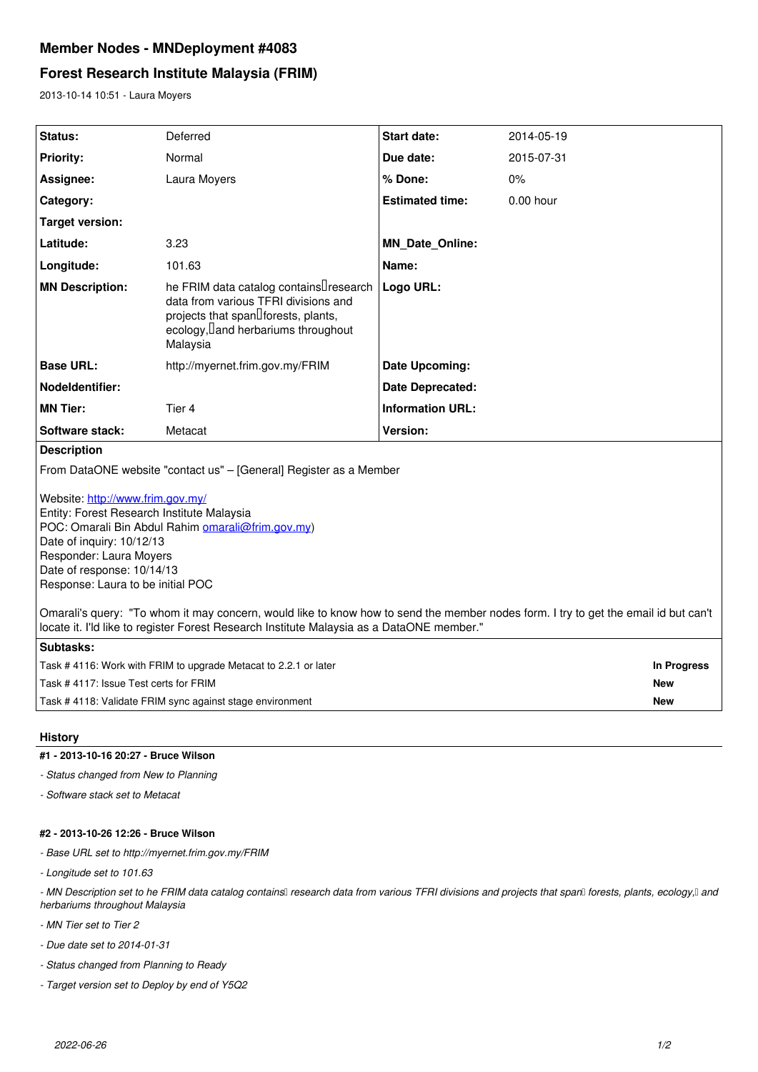# **Member Nodes - MNDeployment #4083**

# **Forest Research Institute Malaysia (FRIM)**

2013-10-14 10:51 - Laura Moyers

| Status:                                                                                                                             | Deferred                                                                                                                                                                  | Start date:             | 2014-05-19  |             |
|-------------------------------------------------------------------------------------------------------------------------------------|---------------------------------------------------------------------------------------------------------------------------------------------------------------------------|-------------------------|-------------|-------------|
| <b>Priority:</b>                                                                                                                    | Normal                                                                                                                                                                    | Due date:               | 2015-07-31  |             |
| Assignee:                                                                                                                           | Laura Moyers                                                                                                                                                              | % Done:                 | 0%          |             |
| Category:                                                                                                                           |                                                                                                                                                                           | <b>Estimated time:</b>  | $0.00$ hour |             |
| Target version:                                                                                                                     |                                                                                                                                                                           |                         |             |             |
| Latitude:                                                                                                                           | 3.23                                                                                                                                                                      | <b>MN_Date_Online:</b>  |             |             |
| Longitude:                                                                                                                          | 101.63                                                                                                                                                                    | Name:                   |             |             |
| <b>MN Description:</b>                                                                                                              | he FRIM data catalog containsUresearch<br>data from various TFRI divisions and<br>projects that spand forests, plants,<br>ecology, land herbariums throughout<br>Malaysia | Logo URL:               |             |             |
| <b>Base URL:</b>                                                                                                                    | http://myernet.frim.gov.my/FRIM                                                                                                                                           | Date Upcoming:          |             |             |
| <b>Nodeldentifier:</b>                                                                                                              |                                                                                                                                                                           | <b>Date Deprecated:</b> |             |             |
| <b>MN Tier:</b>                                                                                                                     | Tier 4                                                                                                                                                                    | <b>Information URL:</b> |             |             |
| Software stack:                                                                                                                     | Metacat                                                                                                                                                                   | Version:                |             |             |
| <b>Description</b>                                                                                                                  |                                                                                                                                                                           |                         |             |             |
| From DataONE website "contact us" - [General] Register as a Member<br>Website: http://www.frim.gov.my/                              |                                                                                                                                                                           |                         |             |             |
| Entity: Forest Research Institute Malaysia                                                                                          |                                                                                                                                                                           |                         |             |             |
| POC: Omarali Bin Abdul Rahim omarali@frim.gov.my)<br>Date of inquiry: 10/12/13                                                      |                                                                                                                                                                           |                         |             |             |
| Responder: Laura Moyers                                                                                                             |                                                                                                                                                                           |                         |             |             |
| Date of response: 10/14/13<br>Response: Laura to be initial POC                                                                     |                                                                                                                                                                           |                         |             |             |
|                                                                                                                                     |                                                                                                                                                                           |                         |             |             |
| Omarali's query: "To whom it may concern, would like to know how to send the member nodes form. I try to get the email id but can't |                                                                                                                                                                           |                         |             |             |
| locate it. I'ld like to register Forest Research Institute Malaysia as a DataONE member."                                           |                                                                                                                                                                           |                         |             |             |
| Subtasks:                                                                                                                           |                                                                                                                                                                           |                         |             |             |
| Task # 4116: Work with FRIM to upgrade Metacat to 2.2.1 or later                                                                    |                                                                                                                                                                           |                         |             | In Progress |
| Task #4117: Issue Test certs for FRIM                                                                                               |                                                                                                                                                                           |                         |             | <b>New</b>  |
| Task #4118: Validate FRIM sync against stage environment<br><b>New</b>                                                              |                                                                                                                                                                           |                         |             |             |

# **History**

### **#1 - 2013-10-16 20:27 - Bruce Wilson**

*- Status changed from New to Planning*

*- Software stack set to Metacat*

### **#2 - 2013-10-26 12:26 - Bruce Wilson**

*- Base URL set to http://myernet.frim.gov.my/FRIM*

*- Longitude set to 101.63*

- MN Description set to he FRIM data catalog containsl research data from various TFRI divisions and projects that spanl forests, plants, ecology,ll and *herbariums throughout Malaysia*

*- MN Tier set to Tier 2*

*- Due date set to 2014-01-31*

*- Status changed from Planning to Ready*

*- Target version set to Deploy by end of Y5Q2*